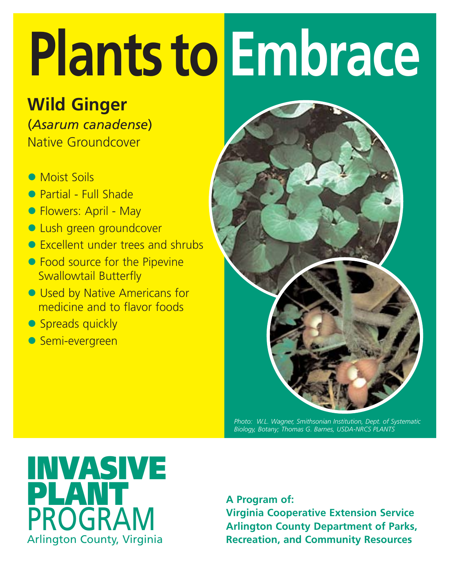### **Wild Ginger**

(*Asarum canadense*) Native Groundcover

- Moist Soils
- **Partial Full Shade**
- Flowers: April May
- **Lush green groundcover**
- Excellent under trees and shrubs
- Food source for the Pipevine Swallowtail Butterfly
- Used by Native Americans for medicine and to flavor foods
- Spreads quickly
- **Semi-evergreen**



*Photo: W.L. Wagner, Smithsonian Institution, Dept. of Systematic Biology, Botany; Thomas G. Barnes, USDA-NRCS PLANTS*

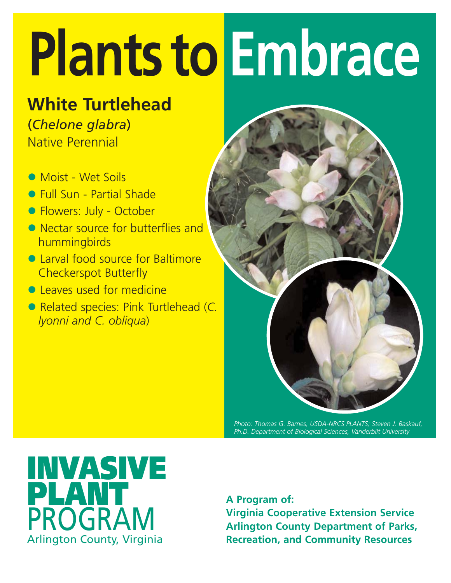#### **White Turtlehead**

(*Chelone glabra*) Native Perennial

- Moist Wet Soils
- Full Sun Partial Shade
- **Flowers: July October**
- Nectar source for butterflies and hummingbirds
- Larval food source for Baltimore Checkerspot Butterfly
- Leaves used for medicine
- z Related species: Pink Turtlehead (*C. lyonni and C. obliqua*)



*Photo: Thomas G. Barnes, USDA-NRCS PLANTS; Steven J. Baskauf, Ph.D. Department of Biological Sciences, Vanderbilt University*

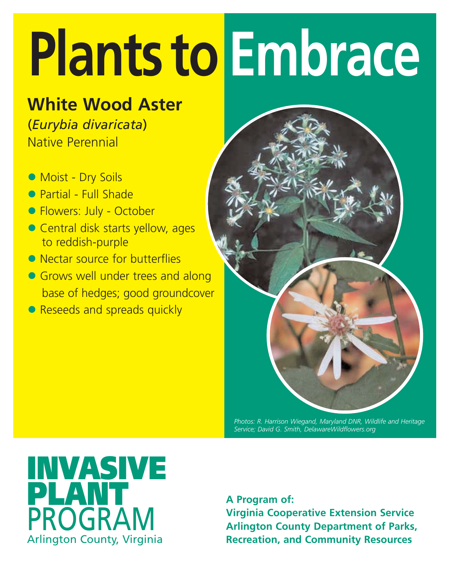#### **White Wood Aster**

(*Eurybia divaricata*) Native Perennial

- Moist Dry Soils
- Partial Full Shade
- **Flowers: July October**
- Central disk starts yellow, ages to reddish-purple
- Nectar source for butterflies
- Grows well under trees and along base of hedges; good groundcover
- Reseeds and spreads quickly



*Photos: R. Harrison Wiegand, Maryland DNR, Wildlife and Heritage Service; David G. Smith, DelawareWildflowers.org*

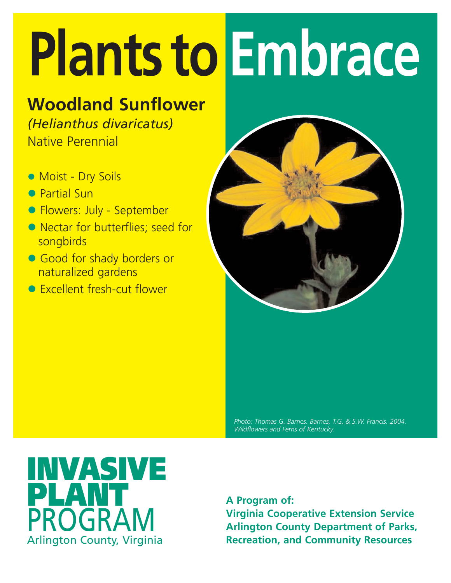### **Woodland Sunflower**

*(Helianthus divaricatus)*

Native Perennial

- **Moist Dry Soils**
- **Partial Sun**
- **Flowers: July September**
- Nectar for butterflies; seed for songbirds
- Good for shady borders or naturalized gardens
- **•** Excellent fresh-cut flower



*Photo: Thomas G. Barnes. Barnes, T.G. & S.W. Francis. 2004. Wildflowers and Ferns of Kentucky.* 

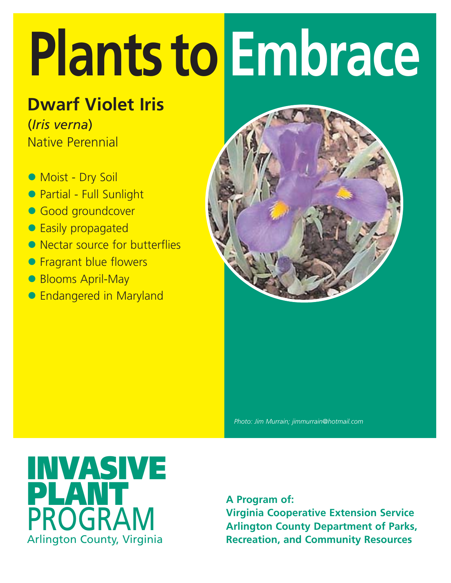#### **Dwarf Violet Iris**

(*Iris verna*) Native Perennial

- Moist Dry Soil
- Partial Full Sunlight
- **Good groundcover**
- **Easily propagated**
- Nectar source for butterflies
- **Fragrant blue flowers**
- Blooms April-May
- **Endangered in Maryland**



*Photo: Jim Murrain; jimmurrain@hotmail.com* 

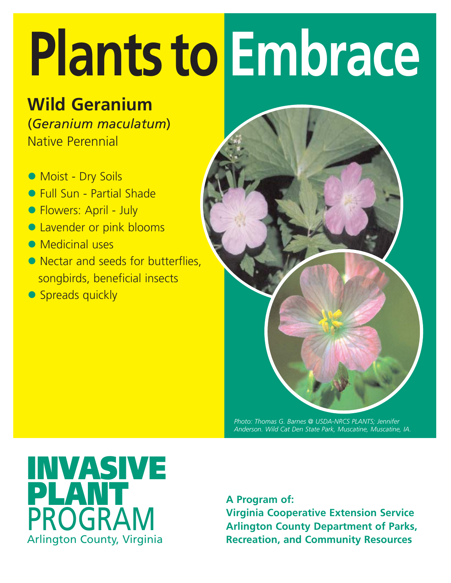### **Wild Geranium**

(*Geranium maculatum*) Native Perennial

- Moist Dry Soils
- Full Sun Partial Shade
- Flowers: April July
- **Lavender or pink blooms**
- $\bullet$  Medicinal uses
- Nectar and seeds for butterflies. songbirds, beneficial insects
- Spreads quickly



*Photo: Thomas G. Barnes @ USDA-NRCS PLANTS; Jennifer Anderson. Wild Cat Den State Park, Muscatine, Muscatine, IA.*

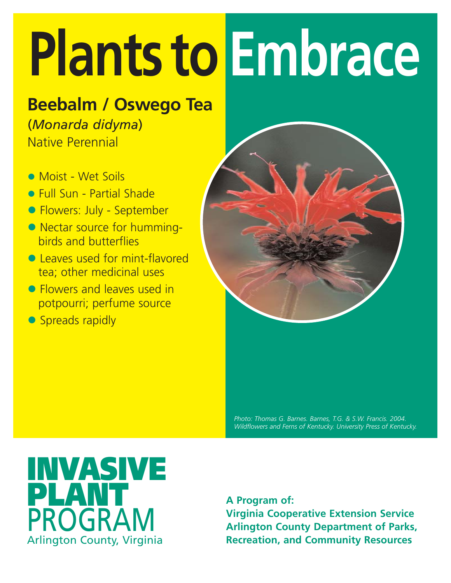### **Beebalm / Oswego Tea**

(*Monarda didyma*) Native Perennial

- Moist Wet Soils
- **Full Sun Partial Shade**
- Flowers: July September
- Nectar source for hummingbirds and butterflies
- **Leaves used for mint-flavored** tea; other medicinal uses
- **Flowers and leaves used in** potpourri; perfume source
- Spreads rapidly



*Photo: Thomas G. Barnes. Barnes, T.G. & S.W. Francis. 2004. Wildflowers and Ferns of Kentucky. University Press of Kentucky.* 

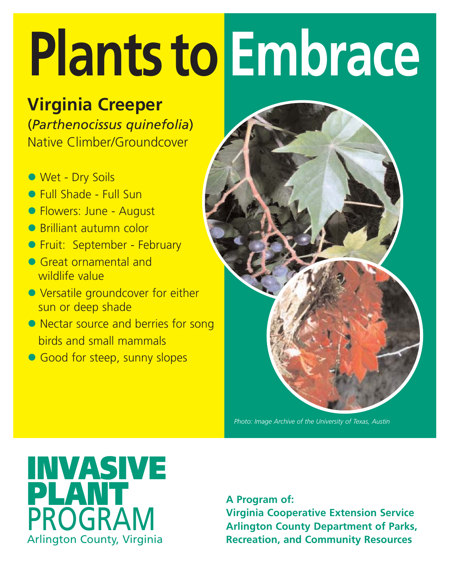#### **Virginia Creeper**

(*Parthenocissus quinefolia*) Native Climber/Groundcover

- Wet Dry Soils
- Full Shade Full Sun
- **Flowers: June August**
- **Brilliant autumn color**
- **Fruit: September February**
- **Great ornamental and** wildlife value
- Versatile groundcover for either sun or deep shade
- Nectar source and berries for song birds and small mammals
- Good for steep, sunny slopes



*Photo: Image Archive of the University of Texas, Austin*

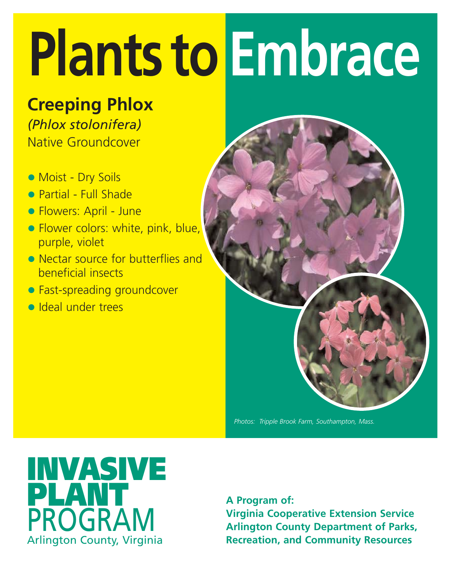**Creeping Phlox** *(Phlox stolonifera)* Native Groundcover

- Moist Dry Soils
- Partial Full Shade
- Flowers: April June
- **Flower colors: white, pink, blue,** purple, violet
- Nectar source for butterflies and beneficial insects
- Fast-spreading groundcover
- **v** Ideal under trees



*Photos: Tripple Brook Farm, Southampton, Mass.*

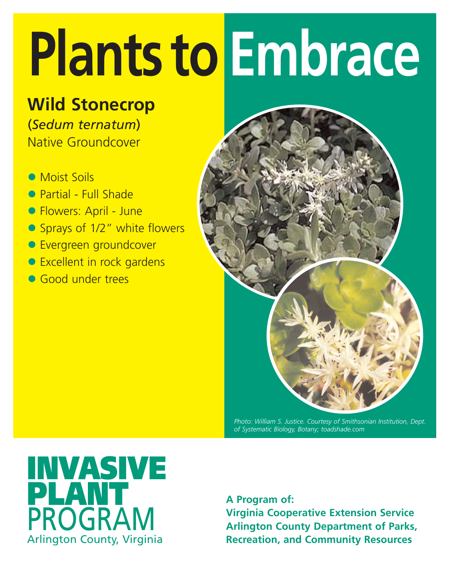### **Wild Stonecrop**

(*Sedum ternatum*) Native Groundcover

- Moist Soils
- Partial Full Shade
- **Flowers: April June**
- Sprays of 1/2" white flowers
- **Evergreen groundcover**
- Excellent in rock gardens
- **Good under trees**



*Photo: William S. Justice. Courtesy of Smithsonian Institution, Dept. of Systematic Biology, Botany; toadshade.com*